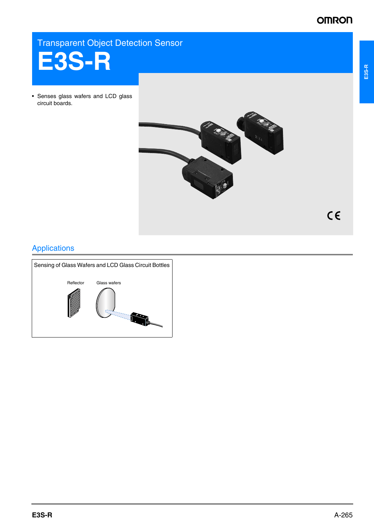# **OMRON**

Transparent Object Detection Sensor



• Senses glass wafers and LCD glass circuit boards.



 $C \in$ 

# Applications

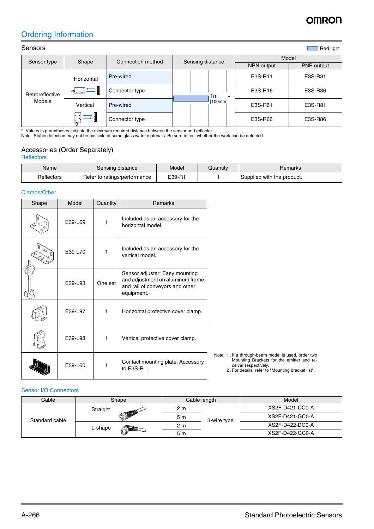# **OMRON**

## Ordering Information

| <b>Sensors</b><br>Red light |                                                                                                                                                                                                                                                                                                                                                                   |                   |                  |  |                          |            |            |
|-----------------------------|-------------------------------------------------------------------------------------------------------------------------------------------------------------------------------------------------------------------------------------------------------------------------------------------------------------------------------------------------------------------|-------------------|------------------|--|--------------------------|------------|------------|
| Sensor type                 | Shape                                                                                                                                                                                                                                                                                                                                                             | Connection method | Sensing distance |  |                          | Model      |            |
|                             |                                                                                                                                                                                                                                                                                                                                                                   |                   |                  |  |                          | NPN output | PNP output |
| Retroreflective<br>Models   | Horizontal<br>$\begin{picture}(150,10) \put(0,0){\line(1,0){10}} \put(15,0){\line(1,0){10}} \put(15,0){\line(1,0){10}} \put(15,0){\line(1,0){10}} \put(15,0){\line(1,0){10}} \put(15,0){\line(1,0){10}} \put(15,0){\line(1,0){10}} \put(15,0){\line(1,0){10}} \put(15,0){\line(1,0){10}} \put(15,0){\line(1,0){10}} \put(15,0){\line(1,0){10}} \put(15,0){\line($ | Pre-wired         |                  |  | 1m<br>$\star$<br>[100mm] | E3S-R11    | E3S-R31    |
|                             |                                                                                                                                                                                                                                                                                                                                                                   | Connector type    |                  |  |                          | E3S-R16    | E3S-R36    |
|                             | Vertical                                                                                                                                                                                                                                                                                                                                                          | Pre-wired         |                  |  |                          | E3S-R61    | E3S-R81    |
|                             |                                                                                                                                                                                                                                                                                                                                                                   | Connector type    |                  |  |                          | E3S-R66    | E3S-R86    |

\* Values in parentheses indicate the minimum required distance between the sensor and reflector.

Note: Stable detection may not be possible of some glass wafer materials. Be sure to test whether the work can be detected.

### Accessories (Order Separately)

#### **Reflectors**

| Name       | Sensing distance             | Model  | Quantity | Remarks                    |
|------------|------------------------------|--------|----------|----------------------------|
| Reflectors | Refer to ratings/performance | E39-R1 |          | Supplied with the product. |

### Clamps/Other

| Shape | Model   | Quantity | Remarks                                                                                                             |                                                                                                                                                                                |
|-------|---------|----------|---------------------------------------------------------------------------------------------------------------------|--------------------------------------------------------------------------------------------------------------------------------------------------------------------------------|
|       | E39-L69 |          | Included as an accessory for the<br>horizontal model.                                                               |                                                                                                                                                                                |
|       | E39-L70 |          | Included as an accessory for the<br>vertical model.                                                                 |                                                                                                                                                                                |
|       | E39-L93 | One set  | Sensor adjuster: Easy mounting<br>and adjustment on aluminum frame<br>and rail of conveyors and other<br>equipment. |                                                                                                                                                                                |
|       | E39-L97 | 1        | Horizontal protective cover clamp.                                                                                  |                                                                                                                                                                                |
|       | E39-L98 | 1        | Vertical protective cover clamp.                                                                                    |                                                                                                                                                                                |
|       | E39-L60 |          | Contact mounting plate: Accessory<br>to E3S-R <sub>D</sub> .                                                        | Note: 1 . If a through-beam model is used, order two<br>Mounting Brackets for the emitter and re-<br>ceiver respectively.<br>2. For details, refer to "Mounting bracket list". |

### Sensor I/O Connectors

| Cable          | Shape    | Cable length |             | Model           |
|----------------|----------|--------------|-------------|-----------------|
| Standard cable | Straight | 2 m          | 3-wire type | XS2F-D421-DC0-A |
|                |          | 5 m          |             | XS2F-D421-GC0-A |
|                | L-shape  | 2 m          |             | XS2F-D422-DC0-A |
|                |          | 5 m          |             | XS2F-D422-GC0-A |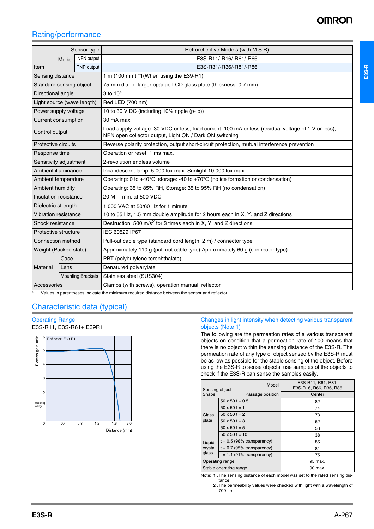**E3S-R**

## Rating/performance

| Sensor type                 |                     |                          | Retroreflective Models (with M.S.R)                                                                                                                             |  |  |  |  |
|-----------------------------|---------------------|--------------------------|-----------------------------------------------------------------------------------------------------------------------------------------------------------------|--|--|--|--|
|                             | NPN output<br>Model |                          | E3S-R11/-R16/-R61/-R66                                                                                                                                          |  |  |  |  |
| Item                        |                     | PNP output               | E3S-R31/-R36/-R81/-R86                                                                                                                                          |  |  |  |  |
| Sensing distance            |                     |                          | 1 m (100 mm) *1(When using the E39-R1)                                                                                                                          |  |  |  |  |
| Standard sensing object     |                     |                          | 75-mm dia. or larger opaque LCD glass plate (thickness: 0.7 mm)                                                                                                 |  |  |  |  |
| Directional angle           |                     |                          | 3 to $10^\circ$                                                                                                                                                 |  |  |  |  |
| Light source (wave length)  |                     |                          | Red LED (700 nm)                                                                                                                                                |  |  |  |  |
| Power supply voltage        |                     |                          | 10 to 30 V DC (including 10% ripple (p- p))                                                                                                                     |  |  |  |  |
| Current consumption         |                     |                          | 30 mA max.                                                                                                                                                      |  |  |  |  |
| Control output              |                     |                          | Load supply voltage: 30 VDC or less, load current: 100 mA or less (residual voltage of 1 V or less),<br>NPN open collector output, Light ON / Dark ON switching |  |  |  |  |
| Protective circuits         |                     |                          | Reverse polarity protection, output short-circuit protection, mutual interference prevention                                                                    |  |  |  |  |
| Response time               |                     |                          | Operation or reset: 1 ms max.                                                                                                                                   |  |  |  |  |
| Sensitivity adjustment      |                     |                          | 2-revolution endless volume                                                                                                                                     |  |  |  |  |
| Ambient illuminance         |                     |                          | Incandescent lamp: 5,000 lux max. Sunlight 10,000 lux max.                                                                                                      |  |  |  |  |
| Ambient temperature         |                     |                          | Operating: 0 to +40°C, storage: -40 to +70°C (no ice formation or condensation)                                                                                 |  |  |  |  |
| Ambient humidity            |                     |                          | Operating: 35 to 85% RH, Storage: 35 to 95% RH (no condensation)                                                                                                |  |  |  |  |
| Insulation resistance       |                     |                          | 20 M<br>min. at 500 VDC                                                                                                                                         |  |  |  |  |
| Dielectric strength         |                     |                          | 1,000 VAC at 50/60 Hz for 1 minute                                                                                                                              |  |  |  |  |
| <b>Vibration resistance</b> |                     |                          | 10 to 55 Hz, 1.5 mm double amplitude for 2 hours each in X, Y, and Z directions                                                                                 |  |  |  |  |
| Shock resistance            |                     |                          | Destruction: 500 m/s <sup>2</sup> for 3 times each in X, Y, and Z directions                                                                                    |  |  |  |  |
| Protective structure        |                     |                          | IEC 60529 IP67                                                                                                                                                  |  |  |  |  |
| Connection method           |                     |                          | Pull-out cable type (standard cord length: 2 m) / connector type                                                                                                |  |  |  |  |
| Weight (Packed state)       |                     |                          | Approximately 110 g (pull-out cable type) Approximately 60 g (connector type)                                                                                   |  |  |  |  |
|                             | Case                |                          | PBT (polybutylene terephthalate)                                                                                                                                |  |  |  |  |
| <b>Material</b>             | Lens                |                          | Denatured polyarylate                                                                                                                                           |  |  |  |  |
|                             |                     | <b>Mounting Brackets</b> | Stainless steel (SUS304)                                                                                                                                        |  |  |  |  |
| Accessories                 |                     |                          | Clamps (with screws), operation manual, reflector                                                                                                               |  |  |  |  |

\*1. Values in parentheses indicate the minimum required distance between the sensor and reflector.

### Characteristic data (typical)

### Operating Range

E3S-R11, E3S-R61+ E39R1



### Changes in light intensity when detecting various transparent objects (Note 1)

The following are the permeation rates of a various transparent objects on condition that a permeation rate of 100 means that there is no object within the sensing distance of the E3S-R. The permeation rate of any type of object sensed by the E3S-R must be as low as possible for the stable sensing of the object. Before using the E3S-R to sense objects, use samples of the objects to check if the E3S-R can sense the samples easily.

| Model<br>Sensing object |                              | E3S-R11, R61, R81:<br>E3S-R16, R66, R36, R86 |  |  |
|-------------------------|------------------------------|----------------------------------------------|--|--|
| Shape                   | Passage position             | Center                                       |  |  |
|                         | $50 \times 50$ t = 0.5       | 82                                           |  |  |
|                         | $50 \times 50 = 1$           | 74                                           |  |  |
| Glass                   | $50 \times 50 = 2$           | 73                                           |  |  |
| plate                   | $50 \times 50 t = 3$         | 62                                           |  |  |
|                         | $50 \times 50 t = 5$         | 53                                           |  |  |
|                         | $50 \times 50 t = 10$        | 38                                           |  |  |
| Liquid                  | $t = 0.5$ (98% transparency) | 86                                           |  |  |
| crystal                 | $t = 0.7$ (95% transparency) | 81                                           |  |  |
| glass                   | $t = 1.1$ (91% transparency) | 75                                           |  |  |
|                         | Operating range              | 95 max.                                      |  |  |
|                         | Stable operating range       | 90 max.                                      |  |  |

Note: 1 .The sensing distance of each model was set to the rated sensing distance.

2 .The permeability values were checked with light with a wavelength of 700 m.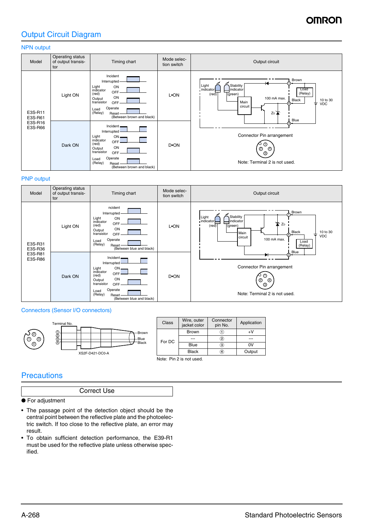# **SMROI**

## Output Circuit Diagram

### NPN output

| Model              | Operating status<br>of output transis-<br>tor | Timing chart                                                                                                                                                                                        | Mode selec-<br>tion switch | Output circuit                                                                                                                                                                                                |
|--------------------|-----------------------------------------------|-----------------------------------------------------------------------------------------------------------------------------------------------------------------------------------------------------|----------------------------|---------------------------------------------------------------------------------------------------------------------------------------------------------------------------------------------------------------|
| E3S-R11<br>E3S-R61 | Light ON                                      | Incident<br>Interrupted<br>Light<br>ON<br>indicator<br>OFF<br>(red)<br>ON<br>Output<br>transistor<br>OFF<br>Operate<br>Load<br>(Relay)<br>Reset<br>(Between brown and black)                        | L.ON                       | Brown<br>Stability<br>Light<br>indicator<br>indicator<br>Load<br>(Relay)<br>$\sqrt{\text{green}}$<br>$(\text{red})$<br>100 mA max.<br>Black<br>10 to 30<br>Main<br>÷<br><b>VDC</b><br>circuit<br>Zo ▲<br>Blue |
| E3S-R16<br>E3S-R66 | Dark ON                                       | Incident-<br>Interrupted -<br>Light<br>$ON$ $\longrightarrow$<br>indicator<br>OFF<br>(red)<br>ON<br>Output<br>transistor<br>OFF<br>Operate<br>Load<br>(Relay)<br>Reset<br>(Between brown and black) | D <sup>•</sup> ON          | Connector Pin arrangement<br>$^{\circ}$<br>◎<br>④<br>⊚<br>Note: Terminal 2 is not used.                                                                                                                       |

#### PNP output



#### Connectors (Sensor I/O connectors)



### **Precautions**

| <b>Correct Use</b> |  |
|--------------------|--|
|                    |  |

- For adjustment
- The passage point of the detection object should be the central point between the reflective plate and the photoelectric switch. If too close to the reflective plate, an error may result.
- To obtain sufficient detection performance, the E39-R1 must be used for the reflective plate unless otherwise specified.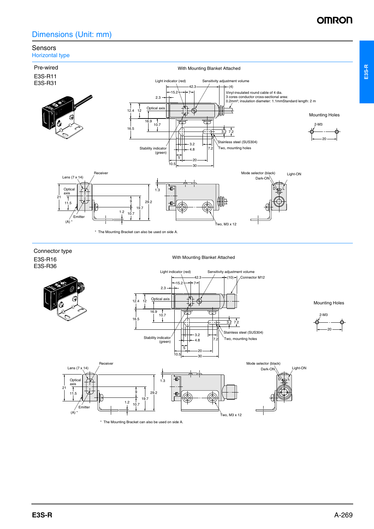## Dimensions (Unit: mm)

### Sensors



7.2

क्

3.2

4.8

20 30

 $5^{\circ}$ י<br>10.5

HH

Stainless steel (SUS304) Two, mounting holes

 $7^{7}_{12}$ 

Two, M3 x 12

Mode selector (black)

Light-ON

20

Mounting Holes

2-M3

D d⇒L

1 4 3

16.9  $10.7$ 

7

Stability indicato (green)

Lens (7 x 14)  $\qquad \qquad$  Dark-ON  $\qquad \qquad$ 

同

Ð

 $+$ <sub>1.3</sub>

 $12.4$ 

16.5

1.2

9 10.7 19.7 29.2

\* The Mounting Bracket can also be used on side A.

Receiver

Emitter

21 11.5

 $\Delta$ 

Opti axis